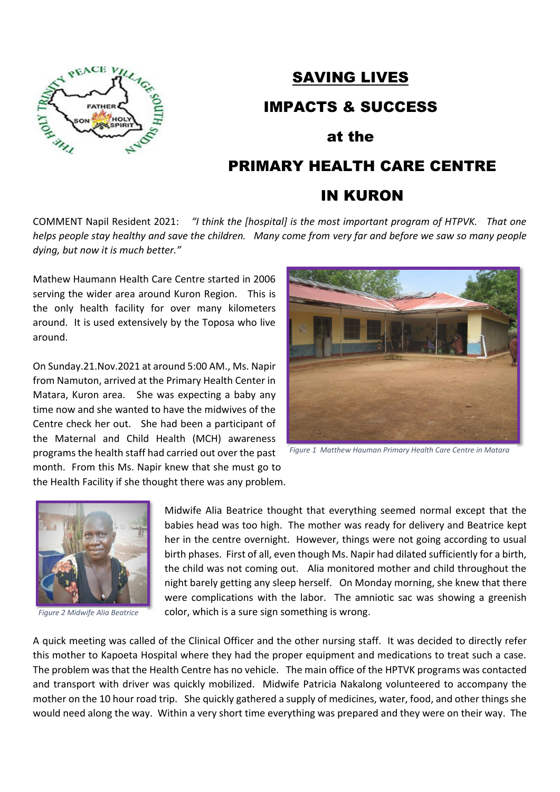

## SAVING LIVES

IMPACTS & SUCCESS

#### at the

# PRIMARY HEALTH CARE CENTRE

## IN KURON

COMMENT Napil Resident 2021: *"I think the [hospital] is the most important program of HTPVK. That one helps people stay healthy and save the children. Many come from very far and before we saw so many people dying, but now it is much better."*

Mathew Haumann Health Care Centre started in 2006 serving the wider area around Kuron Region. This is the only health facility for over many kilometers around. It is used extensively by the Toposa who live around.

On Sunday.21.Nov.2021 at around 5:00 AM., Ms. Napir from Namuton, arrived at the Primary Health Center in Matara, Kuron area. She was expecting a baby any time now and she wanted to have the midwives of the Centre check her out. She had been a participant of the Maternal and Child Health (MCH) awareness programs the health staff had carried out over the past month. From this Ms. Napir knew that she must go to



*Figure 1 Matthew Hauman Primary Health Care Centre in Matara*

the Health Facility if she thought there was any problem.



*Figure 2 Midwife Alia Beatrice*

Midwife Alia Beatrice thought that everything seemed normal except that the babies head was too high. The mother was ready for delivery and Beatrice kept her in the centre overnight. However, things were not going according to usual birth phases. First of all, even though Ms. Napir had dilated sufficiently for a birth, the child was not coming out. Alia monitored mother and child throughout the night barely getting any sleep herself. On Monday morning, she knew that there were complications with the labor. The amniotic sac was showing a greenish color, which is a sure sign something is wrong.

A quick meeting was called of the Clinical Officer and the other nursing staff. It was decided to directly refer this mother to Kapoeta Hospital where they had the proper equipment and medications to treat such a case. The problem was that the Health Centre has no vehicle. The main office of the HPTVK programs was contacted and transport with driver was quickly mobilized. Midwife Patricia Nakalong volunteered to accompany the mother on the 10 hour road trip. She quickly gathered a supply of medicines, water, food, and other things she would need along the way. Within a very short time everything was prepared and they were on their way. The